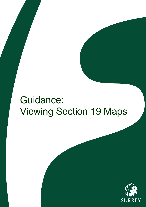# Guidance: Viewing Section 19 Maps

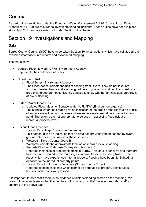## **Context**

As part of the new duties under the Flood and Water Management Act 2010, Lead Local Flood Authorities (LLFAs) are required to investigate flooding incidents. These duties have been in place since April 2011 and are carried out under Section 19 of the Act.

## Section 19 Investigations and Mapping

### **Data**

Surrey County Council (SCC) have undertaken Section 19 investigations which have collated all the available information into reports and associated mapping.

The maps show:

- Detailed River Network (DRN) (Environment Agency) Represents the centrelines of rivers.
- Fluvial Flood Risk
	- o Flood Zones (Environment Agency)

The Flood Zones indicate the risk of flooding from Rivers. They do not take into account climate change and are designed only to give an indication of flood risk to an area of land and are not sufficiently detailed to show whether an individual property is at risk of flooding.

- Surface Water Flood Risk
	- o Updated Flood Maps for Surface Water (UFMfSW) (Environment Agency) The surface water flood maps give an indication of the broad areas likely to be at risk of surface water flooding, i.e. areas where surface water would be expected to flow or pond. The extents are not appropriate to be used in assessing flood risk at an individual property level.
- Historic Flood Evidence
	- o Historic Flood Map (Environment Agency) This dataset gives an indication that an area has previously been flooded by rivers, groundwater or a combination of these sources.
	- o Wetspots (Surrey County Council) Wetspots indicate the approximate location of known previous flooding.
	- o Property Flooding Database (Surrey County Council) Reported instances of property flooding in Surrey. This data is sensitive and therefore has been represented in the mapping as 'Internal Property Flooding Roads'. The roads which have experienced internal property flooding have been highlighted, as opposed to the individual property points.
	- o Historic Flooding Incidents Database (Surrey County Council) Reported flooding incidents which cannot be attributed to property points e.g. 5 houses flooded on example road.

It is important to note that if there is no evidence of historic flooding shown on the mapping, this does not necessarily mean that flooding has not occurred, just that it was not reported and/or captured in the above data.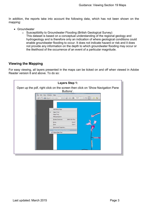In addition, the reports take into account the following data, which has not been shown on the mapping:

- Groundwater
	- o Susceptibility to Groundwater Flooding (British Geological Survey)
		- This dataset is based on a conceptual understanding of the regional geology and hydrogeology and is therefore only an indication of where geological conditions could enable groundwater flooding to occur. It does not indicate hazard or risk and it does not provide any information on the depth to which groundwater flooding may occur or the likelihood of the occurrence of an event of a particular magnitude.

#### **Viewing the Mapping**

For easy viewing, all layers presented in the maps can be ticked on and off when viewed in Adobe Reader version 8 and above. To do so: